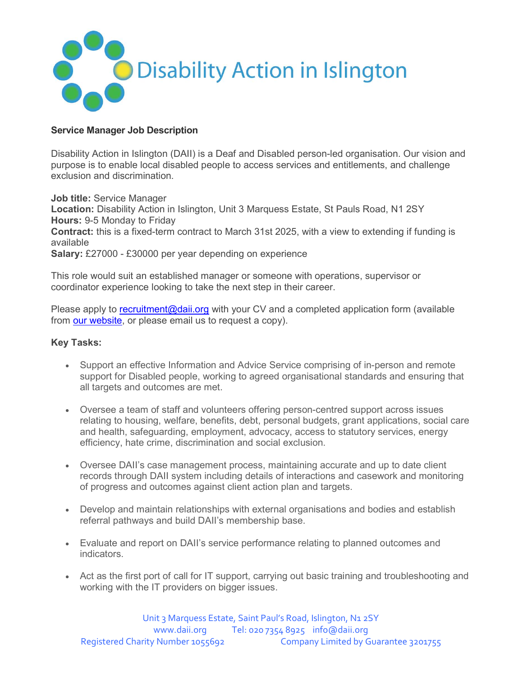

# Service Manager Job Description

Disability Action in Islington (DAII) is a Deaf and Disabled person-led organisation. Our vision and purpose is to enable local disabled people to access services and entitlements, and challenge exclusion and discrimination.

Job title: Service Manager Location: Disability Action in Islington, Unit 3 Marquess Estate, St Pauls Road, N1 2SY  Hours: 9-5 Monday to Friday Contract: this is a fixed-term contract to March 31st 2025, with a view to extending if funding is available Salary: £27000 - £30000 per year depending on experience

This role would suit an established manager or someone with operations, supervisor or coordinator experience looking to take the next step in their career.

Please apply to recruitment@daii.org with your CV and a completed application form (available from our website, or please email us to request a copy).

## Key Tasks:

- Support an effective Information and Advice Service comprising of in-person and remote support for Disabled people, working to agreed organisational standards and ensuring that all targets and outcomes are met.
- Oversee a team of staff and volunteers offering person-centred support across issues relating to housing, welfare, benefits, debt, personal budgets, grant applications, social care and health, safeguarding, employment, advocacy, access to statutory services, energy efficiency, hate crime, discrimination and social exclusion.
- Oversee DAII's case management process, maintaining accurate and up to date client records through DAII system including details of interactions and casework and monitoring of progress and outcomes against client action plan and targets.
- Develop and maintain relationships with external organisations and bodies and establish referral pathways and build DAII's membership base.
- Evaluate and report on DAII's service performance relating to planned outcomes and indicators.
- Act as the first port of call for IT support, carrying out basic training and troubleshooting and working with the IT providers on bigger issues.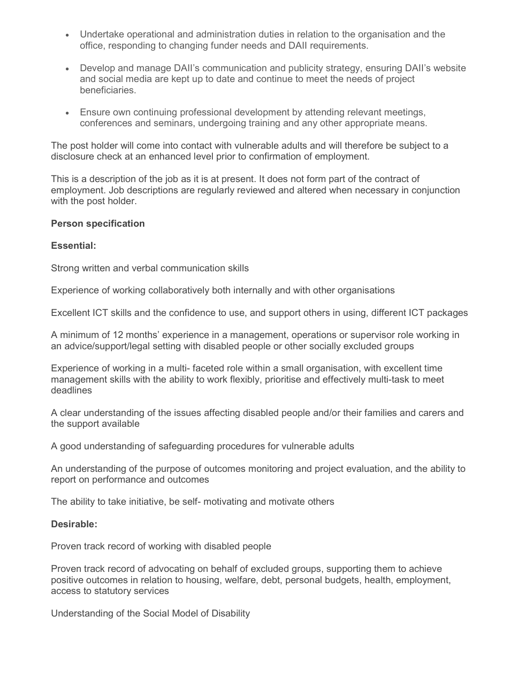- Undertake operational and administration duties in relation to the organisation and the office, responding to changing funder needs and DAII requirements.
- Develop and manage DAII's communication and publicity strategy, ensuring DAII's website and social media are kept up to date and continue to meet the needs of project beneficiaries.
- Ensure own continuing professional development by attending relevant meetings, conferences and seminars, undergoing training and any other appropriate means.

The post holder will come into contact with vulnerable adults and will therefore be subject to a disclosure check at an enhanced level prior to confirmation of employment.

This is a description of the job as it is at present. It does not form part of the contract of employment. Job descriptions are regularly reviewed and altered when necessary in conjunction with the post holder.

### Person specification

### Essential:

Strong written and verbal communication skills

Experience of working collaboratively both internally and with other organisations

Excellent ICT skills and the confidence to use, and support others in using, different ICT packages

A minimum of 12 months' experience in a management, operations or supervisor role working in an advice/support/legal setting with disabled people or other socially excluded groups

Experience of working in a multi- faceted role within a small organisation, with excellent time management skills with the ability to work flexibly, prioritise and effectively multi-task to meet deadlines

A clear understanding of the issues affecting disabled people and/or their families and carers and the support available

A good understanding of safeguarding procedures for vulnerable adults

An understanding of the purpose of outcomes monitoring and project evaluation, and the ability to report on performance and outcomes

The ability to take initiative, be self- motivating and motivate others

#### Desirable:

Proven track record of working with disabled people

Proven track record of advocating on behalf of excluded groups, supporting them to achieve positive outcomes in relation to housing, welfare, debt, personal budgets, health, employment, access to statutory services

Understanding of the Social Model of Disability